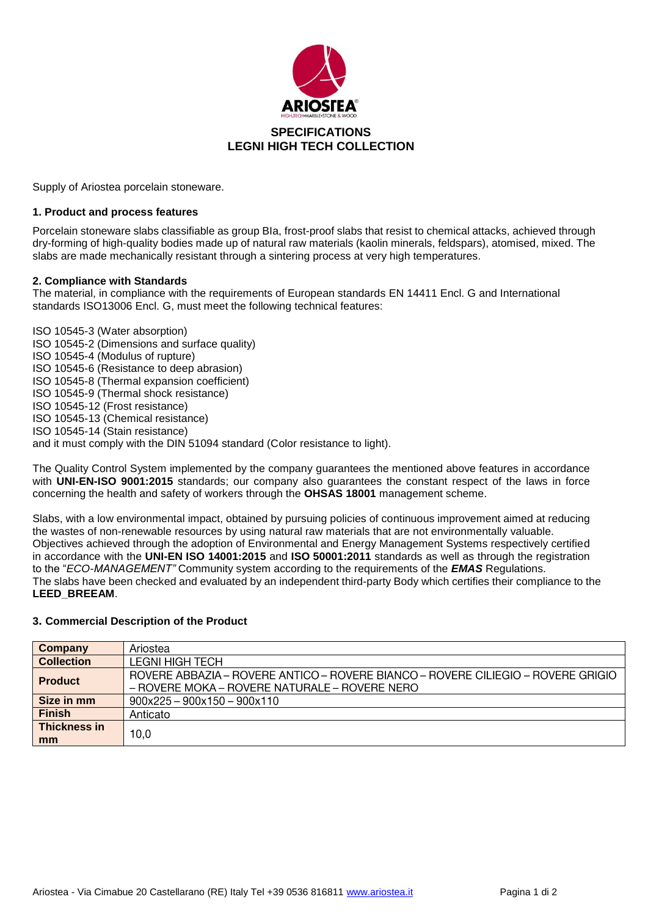

Supply of Ariostea porcelain stoneware.

#### **1. Product and process features**

Porcelain stoneware slabs classifiable as group BIa, frost-proof slabs that resist to chemical attacks, achieved through dry-forming of high-quality bodies made up of natural raw materials (kaolin minerals, feldspars), atomised, mixed. The slabs are made mechanically resistant through a sintering process at very high temperatures.

#### **2. Compliance with Standards**

The material, in compliance with the requirements of European standards EN 14411 Encl. G and International standards ISO13006 Encl. G, must meet the following technical features:

ISO 10545-3 (Water absorption) ISO 10545-2 (Dimensions and surface quality) ISO 10545-4 (Modulus of rupture) ISO 10545-6 (Resistance to deep abrasion) ISO 10545-8 (Thermal expansion coefficient) ISO 10545-9 (Thermal shock resistance) ISO 10545-12 (Frost resistance) ISO 10545-13 (Chemical resistance) ISO 10545-14 (Stain resistance) and it must comply with the DIN 51094 standard (Color resistance to light).

The Quality Control System implemented by the company guarantees the mentioned above features in accordance with **UNI-EN-ISO 9001:2015** standards; our company also guarantees the constant respect of the laws in force concerning the health and safety of workers through the **OHSAS 18001** management scheme.

Slabs, with a low environmental impact, obtained by pursuing policies of continuous improvement aimed at reducing the wastes of non-renewable resources by using natural raw materials that are not environmentally valuable. Objectives achieved through the adoption of Environmental and Energy Management Systems respectively certified in accordance with the **UNI-EN ISO 14001:2015** and **ISO 50001:2011** standards as well as through the registration to the "*ECO-MANAGEMENT"* Community system according to the requirements of the *EMAS* Regulations. The slabs have been checked and evaluated by an independent third-party Body which certifies their compliance to the **LEED\_BREEAM**.

### **3. Commercial Description of the Product**

| Company                   | Ariostea                                                                                                                            |
|---------------------------|-------------------------------------------------------------------------------------------------------------------------------------|
| <b>Collection</b>         | <b>LEGNI HIGH TECH</b>                                                                                                              |
| <b>Product</b>            | ROVERE ABBAZIA – ROVERE ANTICO – ROVERE BIANCO – ROVERE CILIEGIO – ROVERE GRIGIO<br>$-$ ROVERE MOKA – ROVERE NATURALE – ROVERE NERO |
| Size in mm                | $900x225 - 900x150 - 900x110$                                                                                                       |
| <b>Finish</b>             | Anticato                                                                                                                            |
| <b>Thickness in</b><br>mm | 10.0                                                                                                                                |